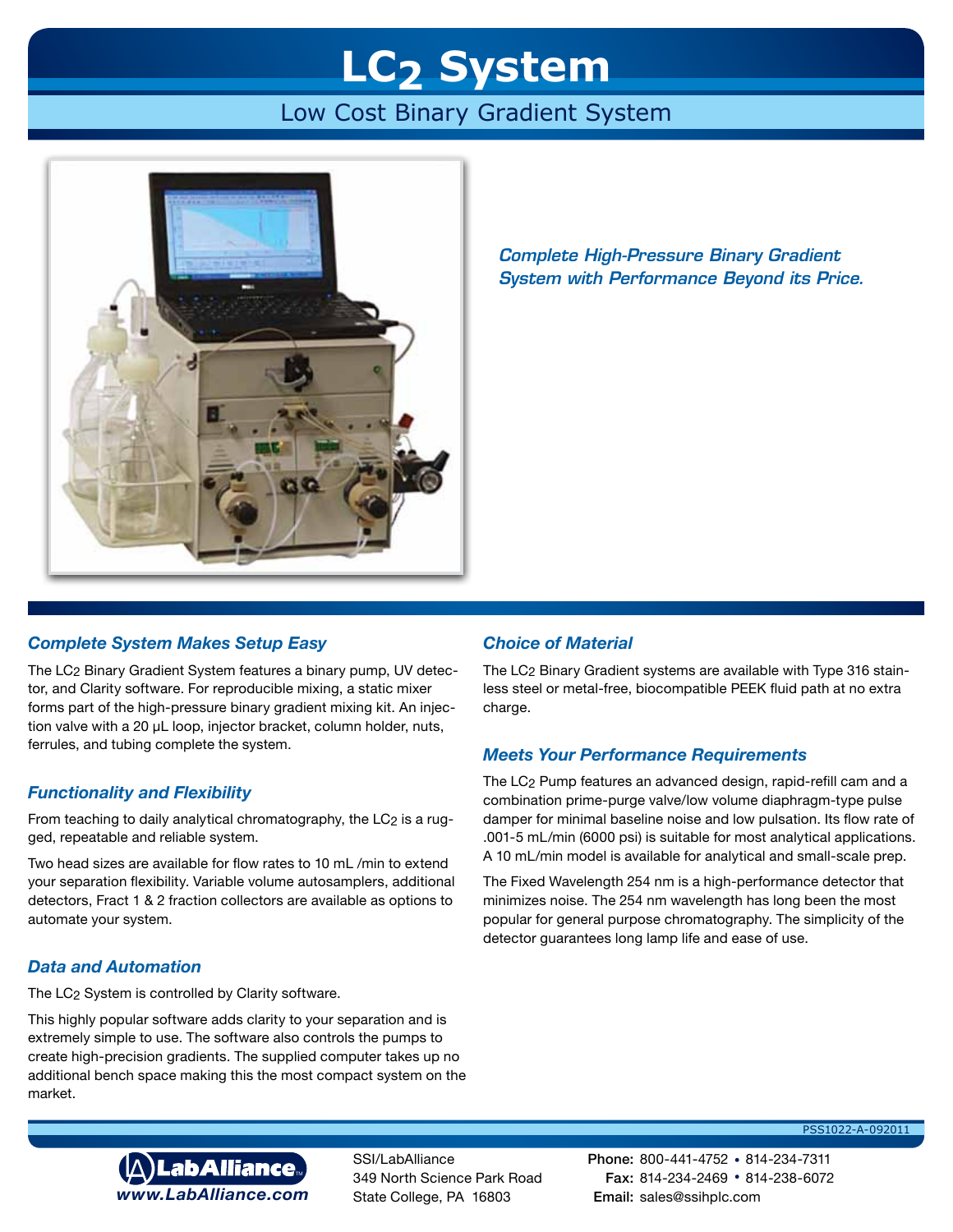# **LC2 System**

# Low Cost Binary Gradient System



Complete High-Pressure Binary Gradient System with Performance Beyond its Price.

## *Complete System Makes Setup Easy*

The LC2 Binary Gradient System features a binary pump, UV detector, and Clarity software. For reproducible mixing, a static mixer forms part of the high-pressure binary gradient mixing kit. An injection valve with a 20 μL loop, injector bracket, column holder, nuts, ferrules, and tubing complete the system.

## *Functionality and Flexibility*

From teaching to daily analytical chromatography, the LC2 is a rugged, repeatable and reliable system.

Two head sizes are available for flow rates to 10 mL /min to extend your separation flexibility. Variable volume autosamplers, additional detectors, Fract 1 & 2 fraction collectors are available as options to automate your system.

## *Data and Automation*

The LC2 System is controlled by Clarity software.

This highly popular software adds clarity to your separation and is extremely simple to use. The software also controls the pumps to create high-precision gradients. The supplied computer takes up no additional bench space making this the most compact system on the market.

## *Choice of Material*

The LC2 Binary Gradient systems are available with Type 316 stainless steel or metal-free, biocompatible PEEK fluid path at no extra charge.

## *Meets Your Performance Requirements*

The LC2 Pump features an advanced design, rapid-refill cam and a combination prime-purge valve/low volume diaphragm-type pulse damper for minimal baseline noise and low pulsation. Its flow rate of .001-5 mL/min (6000 psi) is suitable for most analytical applications. A 10 mL/min model is available for analytical and small-scale prep.

The Fixed Wavelength 254 nm is a high-performance detector that minimizes noise. The 254 nm wavelength has long been the most popular for general purpose chromatography. The simplicity of the detector guarantees long lamp life and ease of use.

#### $\Lambda$ )LabAlliance TM *www.LabAlliance.com*

SSI/LabAlliance 349 North Science Park Road State College, PA 16803

Phone: 800-441-4752 · 814-234-7311 Fax: 814-234-2469 • 814-238-6072 Email: sales@ssihplc.com

PSS1022-A-092011